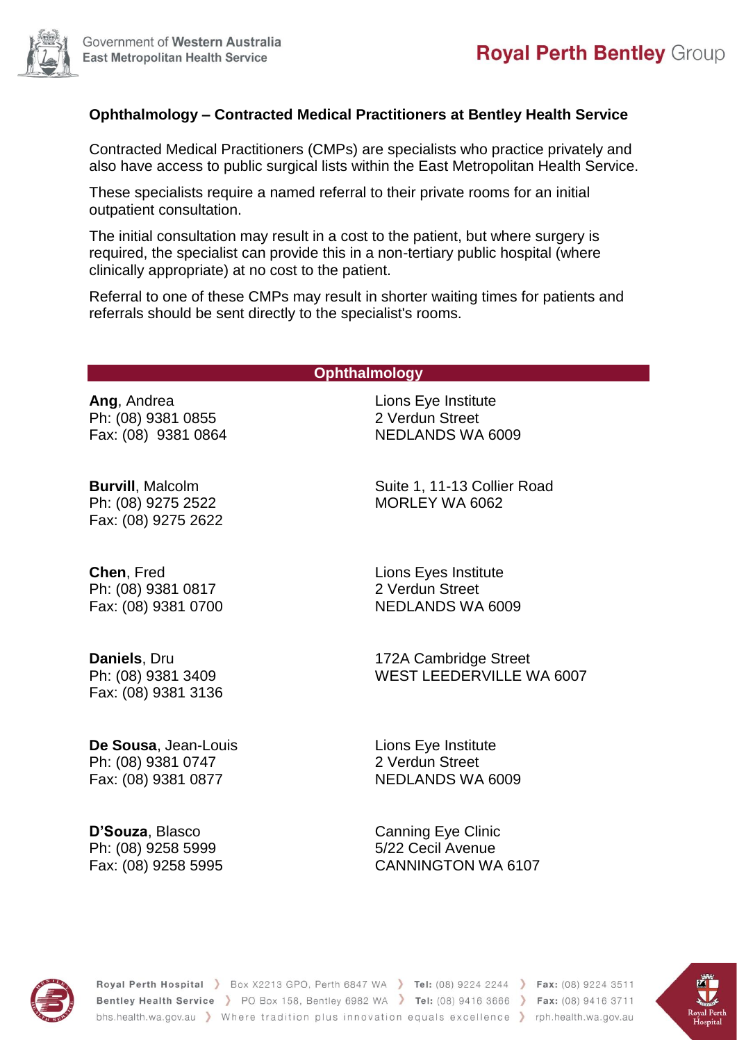## **Ophthalmology – Contracted Medical Practitioners at Bentley Health Service**

Contracted Medical Practitioners (CMPs) are specialists who practice privately and also have access to public surgical lists within the East Metropolitan Health Service.

These specialists require a named referral to their private rooms for an initial outpatient consultation.

The initial consultation may result in a cost to the patient, but where surgery is required, the specialist can provide this in a non-tertiary public hospital (where clinically appropriate) at no cost to the patient.

Referral to one of these CMPs may result in shorter waiting times for patients and referrals should be sent directly to the specialist's rooms.

## **Ophthalmology**

**Ang**, Andrea Ph: (08) 9381 0855 Fax: (08) 9381 0864 Lions Eye Institute 2 Verdun Street NEDLANDS WA 6009

**Burvill**, Malcolm Ph: (08) 9275 2522 Fax: (08) 9275 2622

**Chen**, Fred Ph: (08) 9381 0817 Fax: (08) 9381 0700

**Daniels**, Dru Ph: (08) 9381 3409 Fax: (08) 9381 3136

**De Sousa**, Jean-Louis Ph: (08) 9381 0747 Fax: (08) 9381 0877

**D'Souza**, Blasco Ph: (08) 9258 5999 Fax: (08) 9258 5995

Suite 1, 11-13 Collier Road MORLEY WA 6062

Lions Eyes Institute 2 Verdun Street NEDLANDS WA 6009

172A Cambridge Street WEST LEEDERVILLE WA 6007

Lions Eye Institute 2 Verdun Street NEDLANDS WA 6009

Canning Eye Clinic 5/22 Cecil Avenue CANNINGTON WA 6107



Royal Perth Hospital > Box X2213 GPO, Perth 6847 WA > Tel: (08) 9224 2244 > Fax: (08) 9224 3511 Bentley Health Service > PO Box 158, Bentley 6982 WA > Tel: (08) 9416 3666 > Fax: (08) 9416 3711 bhs.health.wa.gov.au > Where tradition plus innovation equals excellence > rph.health.wa.gov.au

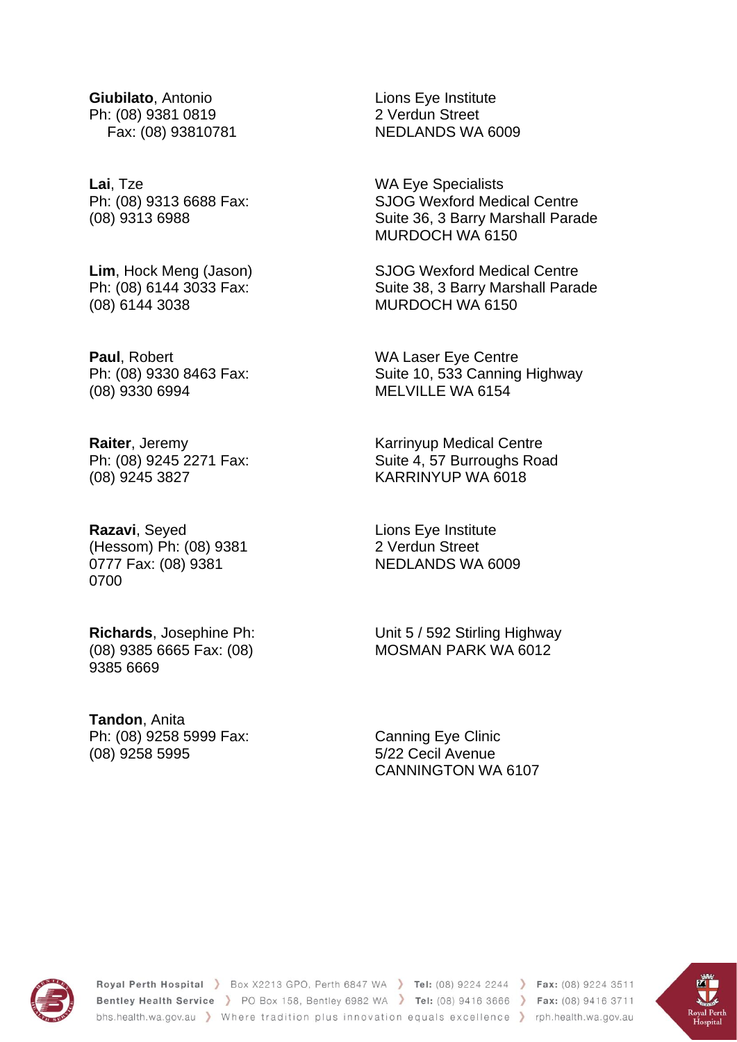**Giubilato**, Antonio Ph: (08) 9381 0819 Fax: (08) 93810781

**Lai**, Tze Ph: (08) 9313 6688 Fax: (08) 9313 6988

**Lim**, Hock Meng (Jason) Ph: (08) 6144 3033 Fax: (08) 6144 3038

**Paul**, Robert Ph: (08) 9330 8463 Fax: (08) 9330 6994

**Raiter**, Jeremy Ph: (08) 9245 2271 Fax: (08) 9245 3827

**Razavi**, Seyed (Hessom) Ph: (08) 9381 0777 Fax: (08) 9381 0700

**Richards**, Josephine Ph: (08) 9385 6665 Fax: (08) 9385 6669

**Tandon**, Anita Ph: (08) 9258 5999 Fax: (08) 9258 5995

Lions Eye Institute 2 Verdun Street NEDLANDS WA 6009

WA Eye Specialists SJOG Wexford Medical Centre Suite 36, 3 Barry Marshall Parade MURDOCH WA 6150

SJOG Wexford Medical Centre Suite 38, 3 Barry Marshall Parade MURDOCH WA 6150

WA Laser Eye Centre Suite 10, 533 Canning Highway MELVILLE WA 6154

Karrinyup Medical Centre Suite 4, 57 Burroughs Road KARRINYUP WA 6018

Lions Eye Institute 2 Verdun Street NEDLANDS WA 6009

Unit 5 / 592 Stirling Highway MOSMAN PARK WA 6012

Canning Eye Clinic 5/22 Cecil Avenue CANNINGTON WA 6107



Royal Perth Hospital > Box X2213 GPO, Perth 6847 WA > Tel: (08) 9224 2244 > Fax: (08) 9224 3511 Bentley Health Service > PO Box 158, Bentley 6982 WA > Tel: (08) 9416 3666 > Fax: (08) 9416 3711 bhs.health.wa.gov.au > Where tradition plus innovation equals excellence > rph.health.wa.gov.au